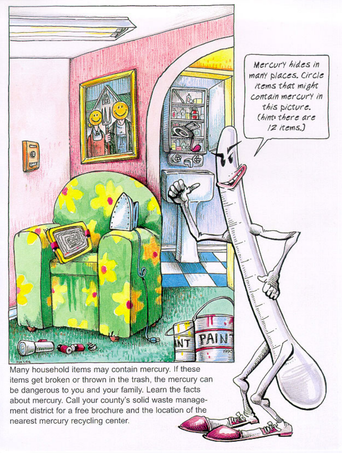